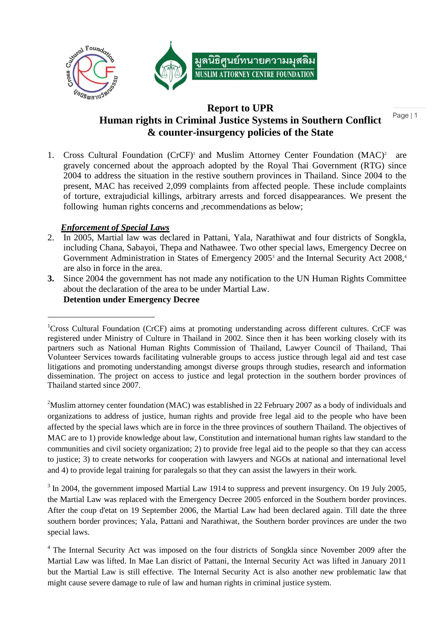

# **Report to UPR Human rights in Criminal Justice Systems in Southern Conflict & counter-insurgency policies of the State**

Page | 1

1. Cross Cultural Foundation (CrCF)<sup>1</sup> and Muslim Attorney Center Foundation (MAC)<sup>2</sup> are gravely concerned about the approach adopted by the Royal Thai Government (RTG) since 2004 to address the situation in the restive southern provinces in Thailand. Since 2004 to the present, MAC has received 2,099 complaints from affected people. These include complaints of torture, extrajudicial killings, arbitrary arrests and forced disappearances. We present the following human rights concerns and , recommendations as below;

## *Enforcement of Special Laws*

- 2. In 2005, Martial law was declared in Pattani, Yala, Narathiwat and four districts of Songkla, including Chana, Sabayoi, Thepa and Nathawee. Two other special laws, Emergency Decree on Government Administration in States of Emergency 2005<sup>3</sup> and the Internal Security Act 2008,<sup>4</sup> are also in force in the area.
- **3.** Since 2004 the government has not made any notification to the UN Human Rights Committee about the declaration of the area to be under Martial Law.

## **Detention under Emergency Decree**

<sup>2</sup>Muslim attorney center foundation (MAC) was established in 22 February 2007 as a body of individuals and organizations to address of justice, human rights and provide free legal aid to the people who have been affected by the special laws which are in force in the three provinces of southern Thailand. The objectives of MAC are to 1) provide knowledge about law, Constitution and international human rights law standard to the communities and civil society organization; 2) to provide free legal aid to the people so that they can access to justice; 3) to create networks for cooperation with lawyers and NGOs at national and international level and 4) to provide legal training for paralegals so that they can assist the lawyers in their work.

 $3 \text{ In } 2004$ , the government imposed Martial Law 1914 to suppress and prevent insurgency. On 19 July 2005, the Martial Law was replaced with the Emergency Decree 2005 enforced in the Southern border provinces. After the coup d'etat on 19 September 2006, the Martial Law had been declared again. Till date the three southern border provinces; Yala, Pattani and Narathiwat, the Southern border provinces are under the two special laws.

<sup>1</sup>Cross Cultural Foundation (CrCF) aims at promoting understanding across different cultures. CrCF was registered under Ministry of Culture in Thailand in 2002. Since then it has been working closely with its partners such as National Human Rights Commission of Thailand, Lawyer Council of Thailand, Thai Volunteer Services towards facilitating vulnerable groups to access justice through legal aid and test case litigations and promoting understanding amongst diverse groups through studies, research and information dissemination. The project on access to justice and legal protection in the southern border provinces of Thailand started since 2007.

<sup>&</sup>lt;sup>4</sup> The Internal Security Act was imposed on the four districts of Songkla since November 2009 after the Martial Law was lifted. In Mae Lan disrict of Pattani, the Internal Security Act was lifted in January 2011 but the Martial Law is still effective. The Internal Security Act is also another new problematic law that might cause severe damage to rule of law and human rights in criminal justice system.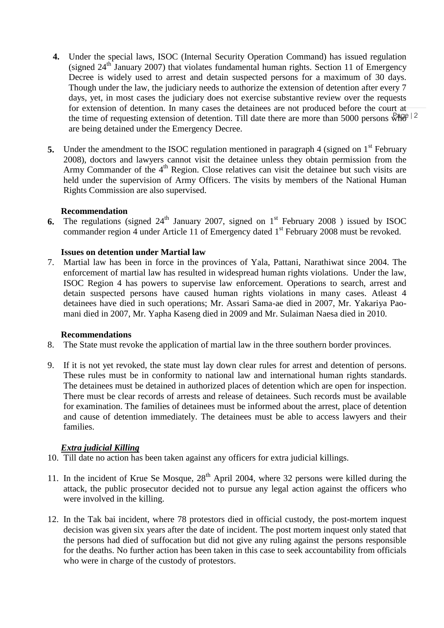- the time of requesting extension of detention. Till date there are more than 5000 persons  $\sqrt{k_{\text{B}}e}$  | 2 **4.** Under the special laws, ISOC (Internal Security Operation Command) has issued regulation (signed  $24<sup>th</sup>$  January 2007) that violates fundamental human rights. Section 11 of Emergency Decree is widely used to arrest and detain suspected persons for a maximum of 30 days. Though under the law, the judiciary needs to authorize the extension of detention after every 7 days, yet, in most cases the judiciary does not exercise substantive review over the requests for extension of detention. In many cases the detainees are not produced before the court at are being detained under the Emergency Decree.
- **5.** Under the amendment to the ISOC regulation mentioned in paragraph 4 (signed on 1<sup>st</sup> February 2008), doctors and lawyers cannot visit the detainee unless they obtain permission from the Army Commander of the 4<sup>th</sup> Region. Close relatives can visit the detainee but such visits are held under the supervision of Army Officers. The visits by members of the National Human Rights Commission are also supervised.

### **Recommendation**

**6.** The regulations (signed 24<sup>th</sup> January 2007, signed on 1<sup>st</sup> February 2008 ) issued by ISOC commander region 4 under Article 11 of Emergency dated 1<sup>st</sup> February 2008 must be revoked.

### **Issues on detention under Martial law**

7. Martial law has been in force in the provinces of Yala, Pattani, Narathiwat since 2004. The enforcement of martial law has resulted in widespread human rights violations. Under the law, ISOC Region 4 has powers to supervise law enforcement. Operations to search, arrest and detain suspected persons have caused human rights violations in many cases. Atleast 4 detainees have died in such operations; Mr. Assari Sama-ae died in 2007, Mr. Yakariya Paomani died in 2007, Mr. Yapha Kaseng died in 2009 and Mr. Sulaiman Naesa died in 2010.

### **Recommendations**

- 8. The State must revoke the application of martial law in the three southern border provinces.
- 9. If it is not yet revoked, the state must lay down clear rules for arrest and detention of persons. These rules must be in conformity to national law and international human rights standards. The detainees must be detained in authorized places of detention which are open for inspection. There must be clear records of arrests and release of detainees. Such records must be available for examination. The families of detainees must be informed about the arrest, place of detention and cause of detention immediately. The detainees must be able to access lawyers and their families.

## *Extra judicial Killing*

- 10. Till date no action has been taken against any officers for extra judicial killings.
- 11. In the incident of Krue Se Mosque,  $28<sup>th</sup>$  April 2004, where 32 persons were killed during the attack, the public prosecutor decided not to pursue any legal action against the officers who were involved in the killing.
- 12. In the Tak bai incident, where 78 protestors died in official custody, the post-mortem inquest decision was given six years after the date of incident. The post mortem inquest only stated that the persons had died of suffocation but did not give any ruling against the persons responsible for the deaths. No further action has been taken in this case to seek accountability from officials who were in charge of the custody of protestors.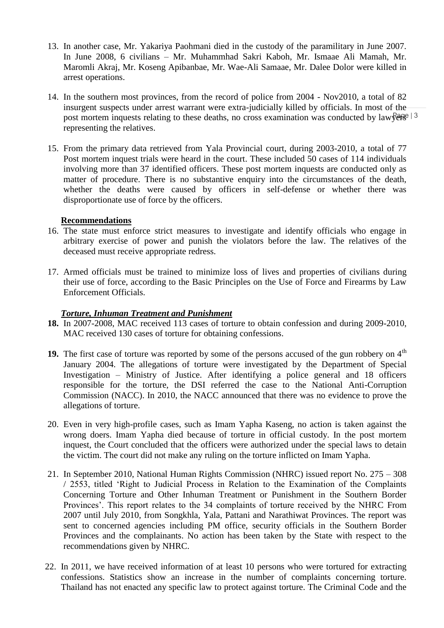- 13. In another case, Mr. Yakariya Paohmani died in the custody of the paramilitary in June 2007. In June 2008, 6 civilians – Mr. Muhammhad Sakri Kaboh, Mr. Ismaae Ali Mamah, Mr. Maromli Akraj, Mr. Koseng Apibanbae, Mr. Wae-Ali Samaae, Mr. Dalee Dolor were killed in arrest operations.
- post mortem inquests relating to these deaths, no cross examination was conducted by law $\sqrt{g}$ ege  $\sqrt{3}$ 14. In the southern most provinces, from the record of police from 2004 - Nov2010, a total of 82 insurgent suspects under arrest warrant were extra-judicially killed by officials. In most of the representing the relatives.
- 15. From the primary data retrieved from Yala Provincial court, during 2003-2010, a total of 77 Post mortem inquest trials were heard in the court. These included 50 cases of 114 individuals involving more than 37 identified officers. These post mortem inquests are conducted only as matter of procedure. There is no substantive enquiry into the circumstances of the death, whether the deaths were caused by officers in self-defense or whether there was disproportionate use of force by the officers.

## **Recommendations**

- 16. The state must enforce strict measures to investigate and identify officials who engage in arbitrary exercise of power and punish the violators before the law. The relatives of the deceased must receive appropriate redress.
- 17. Armed officials must be trained to minimize loss of lives and properties of civilians during their use of force, according to the Basic Principles on the Use of Force and Firearms by Law Enforcement Officials.

## *Torture, Inhuman Treatment and Punishment*

- **18.** In 2007-2008, MAC received 113 cases of torture to obtain confession and during 2009-2010, MAC received 130 cases of torture for obtaining confessions.
- **19.** The first case of torture was reported by some of the persons accused of the gun robbery on  $4<sup>th</sup>$ January 2004. The allegations of torture were investigated by the Department of Special Investigation – Ministry of Justice. After identifying a police general and 18 officers responsible for the torture, the DSI referred the case to the National Anti-Corruption Commission (NACC). In 2010, the NACC announced that there was no evidence to prove the allegations of torture.
- 20. Even in very high-profile cases, such as Imam Yapha Kaseng, no action is taken against the wrong doers. Imam Yapha died because of torture in official custody. In the post mortem inquest, the Court concluded that the officers were authorized under the special laws to detain the victim. The court did not make any ruling on the torture inflicted on Imam Yapha.
- 21. In September 2010, National Human Rights Commission (NHRC) issued report No. 275 308 / 2553, titled "Right to Judicial Process in Relation to the Examination of the Complaints Concerning Torture and Other Inhuman Treatment or Punishment in the Southern Border Provinces'. This report relates to the 34 complaints of torture received by the NHRC From 2007 until July 2010, from Songkhla, Yala, Pattani and Narathiwat Provinces. The report was sent to concerned agencies including PM office, security officials in the Southern Border Provinces and the complainants. No action has been taken by the State with respect to the recommendations given by NHRC.
- 22. In 2011, we have received information of at least 10 persons who were tortured for extracting confessions. Statistics show an increase in the number of complaints concerning torture. Thailand has not enacted any specific law to protect against torture. The Criminal Code and the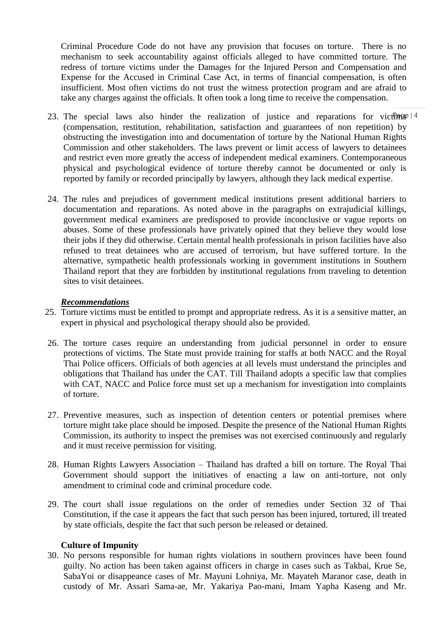Criminal Procedure Code do not have any provision that focuses on torture. There is no mechanism to seek accountability against officials alleged to have committed torture. The redress of torture victims under the Damages for the Injured Person and Compensation and Expense for the Accused in Criminal Case Act, in terms of financial compensation, is often insufficient. Most often victims do not trust the witness protection program and are afraid to take any charges against the officials. It often took a long time to receive the compensation.

- 23. The special laws also hinder the realization of justice and reparations for victimes  $|4$ (compensation, restitution, rehabilitation, satisfaction and guarantees of non repetition) by obstructing the investigation into and documentation of torture by the National Human Rights Commission and other stakeholders. The laws prevent or limit access of lawyers to detainees and restrict even more greatly the access of independent medical examiners. Contemporaneous physical and psychological evidence of torture thereby cannot be documented or only is reported by family or recorded principally by lawyers, although they lack medical expertise.
- 24. The rules and prejudices of government medical institutions present additional barriers to documentation and reparations. As noted above in the paragraphs on extrajudicial killings, government medical examiners are predisposed to provide inconclusive or vague reports on abuses. Some of these professionals have privately opined that they believe they would lose their jobs if they did otherwise. Certain mental health professionals in prison facilities have also refused to treat detainees who are accused of terrorism, but have suffered torture. In the alternative, sympathetic health professionals working in government institutions in Southern Thailand report that they are forbidden by institutional regulations from traveling to detention sites to visit detainees.

### *Recommendations*

- 25. Torture victims must be entitled to prompt and appropriate redress. As it is a sensitive matter, an expert in physical and psychological therapy should also be provided.
- 26. The torture cases require an understanding from judicial personnel in order to ensure protections of victims. The State must provide training for staffs at both NACC and the Royal Thai Police officers. Officials of both agencies at all levels must understand the principles and obligations that Thailand has under the CAT. Till Thailand adopts a specific law that complies with CAT, NACC and Police force must set up a mechanism for investigation into complaints of torture.
- 27. Preventive measures, such as inspection of detention centers or potential premises where torture might take place should be imposed. Despite the presence of the National Human Rights Commission, its authority to inspect the premises was not exercised continuously and regularly and it must receive permission for visiting.
- 28. Human Rights Lawyers Association Thailand has drafted a bill on torture. The Royal Thai Government should support the initiatives of enacting a law on anti-torture, not only amendment to criminal code and criminal procedure code.
- 29. The court shall issue regulations on the order of remedies under Section 32 of Thai Constitution, if the case it appears the fact that such person has been injured, tortured, ill treated by state officials, despite the fact that such person be released or detained.

## **Culture of Impunity**

30. No persons responsible for human rights violations in southern provinces have been found guilty. No action has been taken against officers in charge in cases such as Takbai, Krue Se, SabaYoi or disappeance cases of Mr. Mayuni Lohniya, Mr. Mayateh Maranor case, death in custody of Mr. Assari Sama-ae, Mr. Yakariya Pao-mani, Imam Yapha Kaseng and Mr.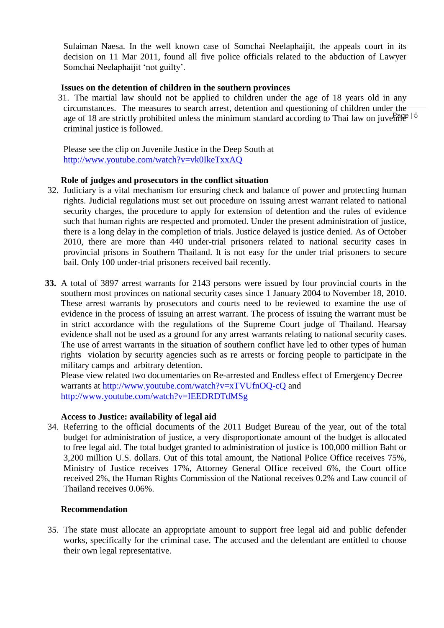Sulaiman Naesa. In the well known case of Somchai Neelaphaijit, the appeals court in its decision on 11 Mar 2011, found all five police officials related to the abduction of Lawyer Somchai Neelaphaijit "not guilty".

## **Issues on the detention of children in the southern provinces**

age of 18 are strictly prohibited unless the minimum standard according to Thai law on juvenile<sup>15</sup> 31. The martial law should not be applied to children under the age of 18 years old in any circumstances. The measures to search arrest, detention and questioning of children under the criminal justice is followed.

Please see the clip on Juvenile Justice in the Deep South at <http://www.youtube.com/watch?v=vk0IkeTxxAQ>

## **Role of judges and prosecutors in the conflict situation**

- 32. Judiciary is a vital mechanism for ensuring check and balance of power and protecting human rights. Judicial regulations must set out procedure on issuing arrest warrant related to national security charges, the procedure to apply for extension of detention and the rules of evidence such that human rights are respected and promoted. Under the present administration of justice, there is a long delay in the completion of trials. Justice delayed is justice denied. As of October 2010, there are more than 440 under-trial prisoners related to national security cases in provincial prisons in Southern Thailand. It is not easy for the under trial prisoners to secure bail. Only 100 under-trial prisoners received bail recently.
- **33.** A total of 3897 arrest warrants for 2143 persons were issued by four provincial courts in the southern most provinces on national security cases since 1 January 2004 to November 18, 2010. These arrest warrants by prosecutors and courts need to be reviewed to examine the use of evidence in the process of issuing an arrest warrant. The process of issuing the warrant must be in strict accordance with the regulations of the Supreme Court judge of Thailand. Hearsay evidence shall not be used as a ground for any arrest warrants relating to national security cases. The use of arrest warrants in the situation of southern conflict have led to other types of human rights violation by security agencies such as re arrests or forcing people to participate in the military camps and arbitrary detention.

Please view related two documentaries on Re-arrested and Endless effect of Emergency Decree warrants at<http://www.youtube.com/watch?v=xTVUfnOQ-cQ> and <http://www.youtube.com/watch?v=IEEDRDTdMSg>

### **Access to Justice: availability of legal aid**

34. Referring to the official documents of the 2011 Budget Bureau of the year, out of the total budget for administration of justice, a very disproportionate amount of the budget is allocated to free legal aid. The total budget granted to administration of justice is 100,000 million Baht or 3,200 million U.S. dollars. Out of this total amount, the National Police Office receives 75%, Ministry of Justice receives 17%, Attorney General Office received 6%, the Court office received 2%, the Human Rights Commission of the National receives 0.2% and Law council of Thailand receives 0.06%.

## **Recommendation**

35. The state must allocate an appropriate amount to support free legal aid and public defender works, specifically for the criminal case. The accused and the defendant are entitled to choose their own legal representative.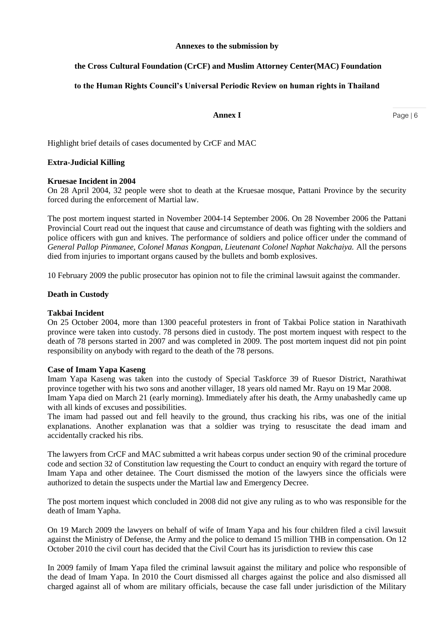#### **Annexes to the submission by**

### **the Cross Cultural Foundation (CrCF) and Muslim Attorney Center(MAC) Foundation**

#### **to the Human Rights Council's Universal Periodic Review on human rights in Thailand**

#### **Annex I**

Highlight brief details of cases documented by CrCF and MAC

#### **Extra-Judicial Killing**

#### **Kruesae Incident in 2004**

On 28 April 2004, 32 people were shot to death at the Kruesae mosque, Pattani Province by the security forced during the enforcement of Martial law.

The post mortem inquest started in November 2004-14 September 2006. On 28 November 2006 the Pattani Provincial Court read out the inquest that cause and circumstance of death was fighting with the soldiers and police officers with gun and knives. The performance of soldiers and police officer under the command of *General Pallop Pinmanee, Colonel Manas Kongpan, Lieutenant Colonel Naphat Nakchaiya.* All the persons died from injuries to important organs caused by the bullets and bomb explosives.

10 February 2009 the public prosecutor has opinion not to file the criminal lawsuit against the commander.

#### **Death in Custody**

#### **Takbai Incident**

On 25 October 2004, more than 1300 peaceful protesters in front of Takbai Police station in Narathivath province were taken into custody. 78 persons died in custody. The post mortem inquest with respect to the death of 78 persons started in 2007 and was completed in 2009. The post mortem inquest did not pin point responsibility on anybody with regard to the death of the 78 persons.

#### **Case of Imam Yapa Kaseng**

Imam Yapa Kaseng was taken into the custody of Special Taskforce 39 of Ruesor District, Narathiwat province together with his two sons and another villager, 18 years old named Mr. Rayu on 19 Mar 2008. Imam Yapa died on March 21 (early morning). Immediately after his death, the Army unabashedly came up with all kinds of excuses and possibilities.

The imam had passed out and fell heavily to the ground, thus cracking his ribs, was one of the initial explanations. Another explanation was that a soldier was trying to resuscitate the dead imam and accidentally cracked his ribs.

The lawyers from CrCF and MAC submitted a writ habeas corpus under section 90 of the criminal procedure code and section 32 of Constitution law requesting the Court to conduct an enquiry with regard the torture of Imam Yapa and other detainee. The Court dismissed the motion of the lawyers since the officials were authorized to detain the suspects under the Martial law and Emergency Decree.

The post mortem inquest which concluded in 2008 did not give any ruling as to who was responsible for the death of Imam Yapha.

On 19 March 2009 the lawyers on behalf of wife of Imam Yapa and his four children filed a civil lawsuit against the Ministry of Defense, the Army and the police to demand 15 million THB in compensation. On 12 October 2010 the civil court has decided that the Civil Court has its jurisdiction to review this case

In 2009 family of Imam Yapa filed the criminal lawsuit against the military and police who responsible of the dead of Imam Yapa. In 2010 the Court dismissed all charges against the police and also dismissed all charged against all of whom are military officials, because the case fall under jurisdiction of the Military

Page | 6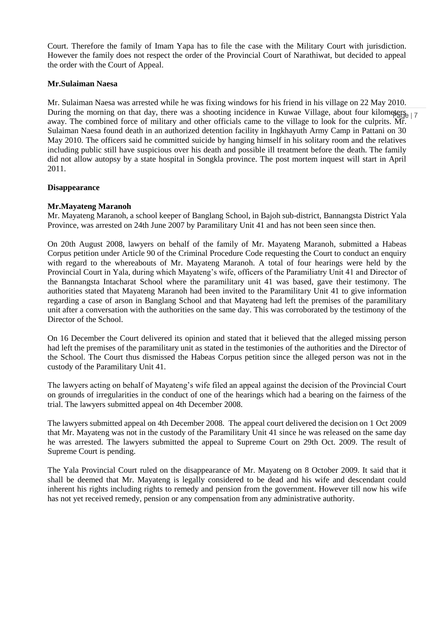Court. Therefore the family of Imam Yapa has to file the case with the Military Court with jurisdiction. However the family does not respect the order of the Provincial Court of Narathiwat, but decided to appeal the order with the Court of Appeal.

#### **Mr.Sulaiman Naesa**

During the morning on that day, there was a shooting incidence in Kuwae Village, about four kilometers  $\frac{1}{2}$ Mr. Sulaiman Naesa was arrested while he was fixing windows for his friend in his village on 22 May 2010. away. The combined force of military and other officials came to the village to look for the culprits. Mr. Sulaiman Naesa found death in an authorized detention facility in Ingkhayuth Army Camp in Pattani on 30 May 2010. The officers said he committed suicide by hanging himself in his solitary room and the relatives including public still have suspicious over his death and possible ill treatment before the death. The family did not allow autopsy by a state hospital in Songkla province. The post mortem inquest will start in April 2011.

#### **Disappearance**

### **Mr.Mayateng Maranoh**

Mr. Mayateng Maranoh, a school keeper of Banglang School, in Bajoh sub-district, Bannangsta District Yala Province, was arrested on 24th June 2007 by Paramilitary Unit 41 and has not been seen since then.

On 20th August 2008, lawyers on behalf of the family of Mr. Mayateng Maranoh, submitted a Habeas Corpus petition under Article 90 of the Criminal Procedure Code requesting the Court to conduct an enquiry with regard to the whereabouts of Mr. Mayateng Maranoh. A total of four hearings were held by the Provincial Court in Yala, during which Mayateng"s wife, officers of the Paramiliatry Unit 41 and Director of the Bannangsta Intacharat School where the paramilitary unit 41 was based, gave their testimony. The authorities stated that Mayateng Maranoh had been invited to the Paramilitary Unit 41 to give information regarding a case of arson in Banglang School and that Mayateng had left the premises of the paramilitary unit after a conversation with the authorities on the same day. This was corroborated by the testimony of the Director of the School.

On 16 December the Court delivered its opinion and stated that it believed that the alleged missing person had left the premises of the paramilitary unit as stated in the testimonies of the authorities and the Director of the School. The Court thus dismissed the Habeas Corpus petition since the alleged person was not in the custody of the Paramilitary Unit 41.

The lawyers acting on behalf of Mayateng"s wife filed an appeal against the decision of the Provincial Court on grounds of irregularities in the conduct of one of the hearings which had a bearing on the fairness of the trial. The lawyers submitted appeal on 4th December 2008.

The lawyers submitted appeal on 4th December 2008. The appeal court delivered the decision on 1 Oct 2009 that Mr. Mayateng was not in the custody of the Paramilitary Unit 41 since he was released on the same day he was arrested. The lawyers submitted the appeal to Supreme Court on 29th Oct. 2009. The result of Supreme Court is pending.

The Yala Provincial Court ruled on the disappearance of Mr. Mayateng on 8 October 2009. It said that it shall be deemed that Mr. Mayateng is legally considered to be dead and his wife and descendant could inherent his rights including rights to remedy and pension from the government. However till now his wife has not yet received remedy, pension or any compensation from any administrative authority.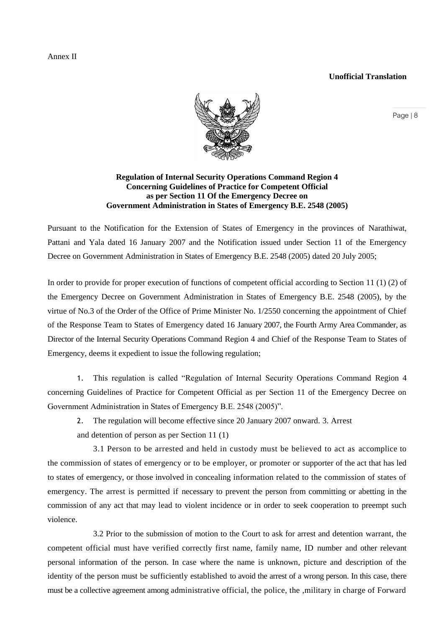#### **Unofficial Translation**



### **Regulation of Internal Security Operations Command Region 4 Concerning Guidelines of Practice for Competent Official as per Section 11 Of the Emergency Decree on Government Administration in States of Emergency B.E. 2548 (2005)**

Pursuant to the Notification for the Extension of States of Emergency in the provinces of Narathiwat, Pattani and Yala dated 16 January 2007 and the Notification issued under Section 11 of the Emergency Decree on Government Administration in States of Emergency B.E. 2548 (2005) dated 20 July 2005;

In order to provide for proper execution of functions of competent official according to Section 11 (1) (2) of the Emergency Decree on Government Administration in States of Emergency B.E. 2548 (2005), by the virtue of No.3 of the Order of the Office of Prime Minister No. 1/2550 concerning the appointment of Chief of the Response Team to States of Emergency dated 16 January 2007, the Fourth Army Area Commander, as Director of the Internal Security Operations Command Region 4 and Chief of the Response Team to States of Emergency, deems it expedient to issue the following regulation;

1. This regulation is called "Regulation of Internal Security Operations Command Region 4 concerning Guidelines of Practice for Competent Official as per Section 11 of the Emergency Decree on Government Administration in States of Emergency B.E. 2548 (2005)".

2. The regulation will become effective since 20 January 2007 onward. 3. Arrest

and detention of person as per Section 11 (1)

3.1 Person to be arrested and held in custody must be believed to act as accomplice to the commission of states of emergency or to be employer, or promoter or supporter of the act that has led to states of emergency, or those involved in concealing information related to the commission of states of emergency. The arrest is permitted if necessary to prevent the person from committing or abetting in the commission of any act that may lead to violent incidence or in order to seek cooperation to preempt such violence.

3.2 Prior to the submission of motion to the Court to ask for arrest and detention warrant, the competent official must have verified correctly first name, family name, ID number and other relevant personal information of the person. In case where the name is unknown, picture and description of the identity of the person must be sufficiently established to avoid the arrest of a wrong person. In this case, there must be a collective agreement among administrative official, the police, the ,military in charge of Forward

Page | 8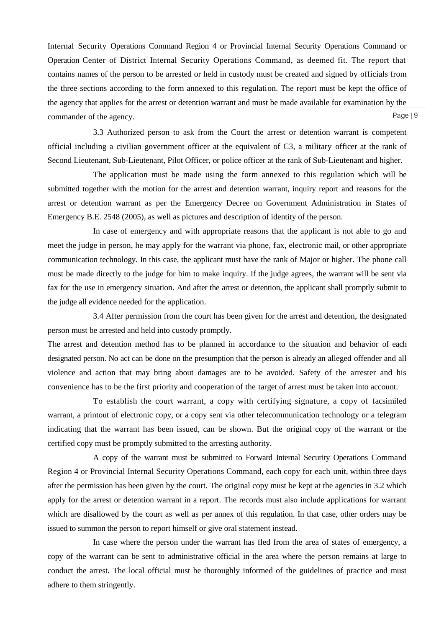Page | 9 Internal Security Operations Command Region 4 or Provincial Internal Security Operations Command or Operation Center of District Internal Security Operations Command, as deemed fit. The report that contains names of the person to be arrested or held in custody must be created and signed by officials from the three sections according to the form annexed to this regulation. The report must be kept the office of the agency that applies for the arrest or detention warrant and must be made available for examination by the commander of the agency.

3.3 Authorized person to ask from the Court the arrest or detention warrant is competent official including a civilian government officer at the equivalent of C3, a military officer at the rank of Second Lieutenant, Sub-Lieutenant, Pilot Officer, or police officer at the rank of Sub-Lieutenant and higher.

The application must be made using the form annexed to this regulation which will be submitted together with the motion for the arrest and detention warrant, inquiry report and reasons for the arrest or detention warrant as per the Emergency Decree on Government Administration in States of Emergency B.E. 2548 (2005), as well as pictures and description of identity of the person.

In case of emergency and with appropriate reasons that the applicant is not able to go and meet the judge in person, he may apply for the warrant via phone, fax, electronic mail, or other appropriate communication technology. In this case, the applicant must have the rank of Major or higher. The phone call must be made directly to the judge for him to make inquiry. If the judge agrees, the warrant will be sent via fax for the use in emergency situation. And after the arrest or detention, the applicant shall promptly submit to the judge all evidence needed for the application.

3.4 After permission from the court has been given for the arrest and detention, the designated person must be arrested and held into custody promptly.

The arrest and detention method has to be planned in accordance to the situation and behavior of each designated person. No act can be done on the presumption that the person is already an alleged offender and all violence and action that may bring about damages are to be avoided. Safety of the arrester and his convenience has to be the first priority and cooperation of the target of arrest must be taken into account.

To establish the court warrant, a copy with certifying signature, a copy of facsimiled warrant, a printout of electronic copy, or a copy sent via other telecommunication technology or a telegram indicating that the warrant has been issued, can be shown. But the original copy of the warrant or the certified copy must be promptly submitted to the arresting authority.

A copy of the warrant must be submitted to Forward Internal Security Operations Command Region 4 or Provincial Internal Security Operations Command, each copy for each unit, within three days after the permission has been given by the court. The original copy must be kept at the agencies in 3.2 which apply for the arrest or detention warrant in a report. The records must also include applications for warrant which are disallowed by the court as well as per annex of this regulation. In that case, other orders may be issued to summon the person to report himself or give oral statement instead.

In case where the person under the warrant has fled from the area of states of emergency, a copy of the warrant can be sent to administrative official in the area where the person remains at large to conduct the arrest. The local official must be thoroughly informed of the guidelines of practice and must adhere to them stringently.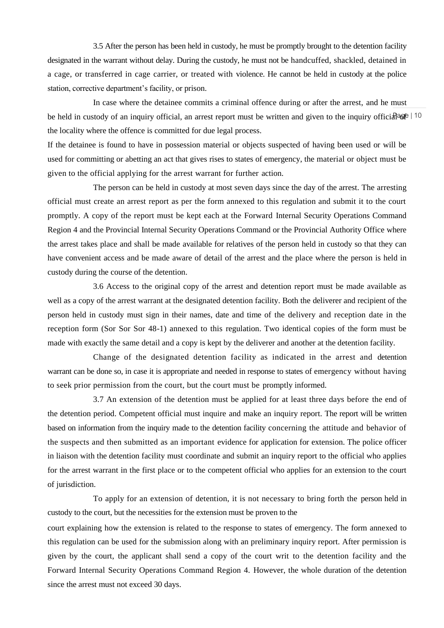3.5 After the person has been held in custody, he must be promptly brought to the detention facility designated in the warrant without delay. During the custody, he must not be handcuffed, shackled, detained in a cage, or transferred in cage carrier, or treated with violence. He cannot be held in custody at the police station, corrective department's facility, or prison.

be held in custody of an inquiry official, an arrest report must be written and given to the inquiry official and In case where the detainee commits a criminal offence during or after the arrest, and he must the locality where the offence is committed for due legal process.

If the detainee is found to have in possession material or objects suspected of having been used or will be used for committing or abetting an act that gives rises to states of emergency, the material or object must be given to the official applying for the arrest warrant for further action.

The person can be held in custody at most seven days since the day of the arrest. The arresting official must create an arrest report as per the form annexed to this regulation and submit it to the court promptly. A copy of the report must be kept each at the Forward Internal Security Operations Command Region 4 and the Provincial Internal Security Operations Command or the Provincial Authority Office where the arrest takes place and shall be made available for relatives of the person held in custody so that they can have convenient access and be made aware of detail of the arrest and the place where the person is held in custody during the course of the detention.

3.6 Access to the original copy of the arrest and detention report must be made available as well as a copy of the arrest warrant at the designated detention facility. Both the deliverer and recipient of the person held in custody must sign in their names, date and time of the delivery and reception date in the reception form (Sor Sor Sor 48-1) annexed to this regulation. Two identical copies of the form must be made with exactly the same detail and a copy is kept by the deliverer and another at the detention facility.

Change of the designated detention facility as indicated in the arrest and detention warrant can be done so, in case it is appropriate and needed in response to states of emergency without having to seek prior permission from the court, but the court must be promptly informed.

3.7 An extension of the detention must be applied for at least three days before the end of the detention period. Competent official must inquire and make an inquiry report. The report will be written based on information from the inquiry made to the detention facility concerning the attitude and behavior of the suspects and then submitted as an important evidence for application for extension. The police officer in liaison with the detention facility must coordinate and submit an inquiry report to the official who applies for the arrest warrant in the first place or to the competent official who applies for an extension to the court of jurisdiction.

To apply for an extension of detention, it is not necessary to bring forth the person held in custody to the court, but the necessities for the extension must be proven to the

court explaining how the extension is related to the response to states of emergency. The form annexed to this regulation can be used for the submission along with an preliminary inquiry report. After permission is given by the court, the applicant shall send a copy of the court writ to the detention facility and the Forward Internal Security Operations Command Region 4. However, the whole duration of the detention since the arrest must not exceed 30 days.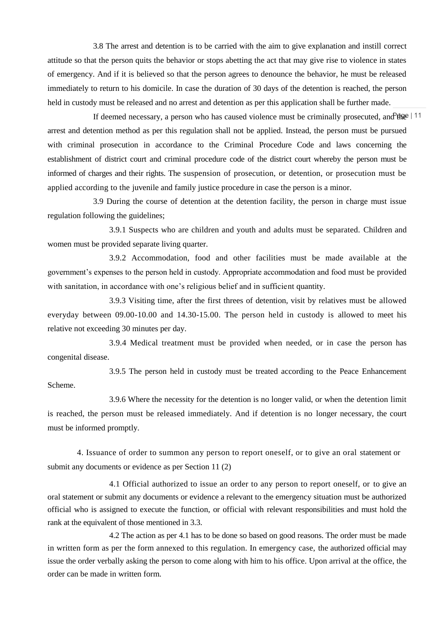3.8 The arrest and detention is to be carried with the aim to give explanation and instill correct attitude so that the person quits the behavior or stops abetting the act that may give rise to violence in states of emergency. And if it is believed so that the person agrees to denounce the behavior, he must be released immediately to return to his domicile. In case the duration of 30 days of the detention is reached, the person held in custody must be released and no arrest and detention as per this application shall be further made.

If deemed necessary, a person who has caused violence must be criminally prosecuted, and the  $\vert$  11 arrest and detention method as per this regulation shall not be applied. Instead, the person must be pursued with criminal prosecution in accordance to the Criminal Procedure Code and laws concerning the establishment of district court and criminal procedure code of the district court whereby the person must be informed of charges and their rights. The suspension of prosecution, or detention, or prosecution must be applied according to the juvenile and family justice procedure in case the person is a minor.

3.9 During the course of detention at the detention facility, the person in charge must issue regulation following the guidelines;

3.9.1 Suspects who are children and youth and adults must be separated. Children and women must be provided separate living quarter.

3.9.2 Accommodation, food and other facilities must be made available at the government"s expenses to the person held in custody. Appropriate accommodation and food must be provided with sanitation, in accordance with one's religious belief and in sufficient quantity.

3.9.3 Visiting time, after the first threes of detention, visit by relatives must be allowed everyday between 09.00-10.00 and 14.30-15.00. The person held in custody is allowed to meet his relative not exceeding 30 minutes per day.

3.9.4 Medical treatment must be provided when needed, or in case the person has congenital disease.

3.9.5 The person held in custody must be treated according to the Peace Enhancement Scheme.

3.9.6 Where the necessity for the detention is no longer valid, or when the detention limit is reached, the person must be released immediately. And if detention is no longer necessary, the court must be informed promptly.

4. Issuance of order to summon any person to report oneself, or to give an oral statement or submit any documents or evidence as per Section 11 (2)

4.1 Official authorized to issue an order to any person to report oneself, or to give an oral statement or submit any documents or evidence a relevant to the emergency situation must be authorized official who is assigned to execute the function, or official with relevant responsibilities and must hold the rank at the equivalent of those mentioned in 3.3.

4.2 The action as per 4.1 has to be done so based on good reasons. The order must be made in written form as per the form annexed to this regulation. In emergency case, the authorized official may issue the order verbally asking the person to come along with him to his office. Upon arrival at the office, the order can be made in written form.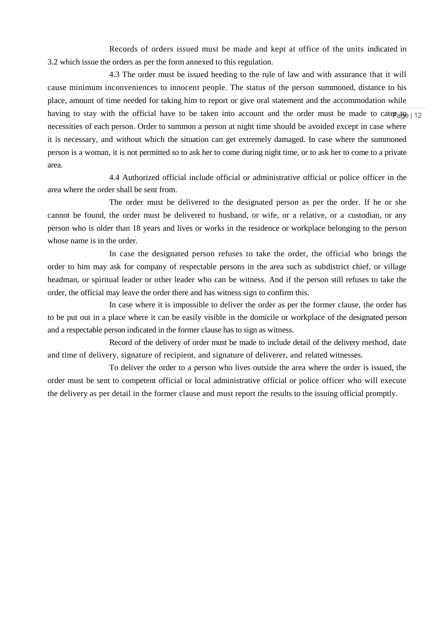Records of orders issued must be made and kept at office of the units indicated in 3.2 which issue the orders as per the form annexed to this regulation.

having to stay with the official have to be taken into account and the order must be made to caterally  $\frac{12}{2}$ 4.3 The order must be issued heeding to the rule of law and with assurance that it will cause minimum inconveniences to innocent people. The status of the person summoned, distance to his place, amount of time needed for taking him to report or give oral statement and the accommodation while necessities of each person. Order to summon a person at night time should be avoided except in case where it is necessary, and without which the situation can get extremely damaged. In case where the summoned person is a woman, it is not permitted so to ask her to come during night time, or to ask her to come to a private area.

4.4 Authorized official include official or administrative official or police officer in the area where the order shall be sent from.

The order must be delivered to the designated person as per the order. If he or she cannot be found, the order must be delivered to husband, or wife, or a relative, or a custodian, or any person who is older than 18 years and lives or works in the residence or workplace belonging to the person whose name is in the order.

In case the designated person refuses to take the order, the official who brings the order to him may ask for company of respectable persons in the area such as subdistrict chief, or village headman, or spiritual leader or other leader who can be witness. And if the person still refuses to take the order, the official may leave the order there and has witness sign to confirm this.

In case where it is impossible to deliver the order as per the former clause, the order has to be put out in a place where it can be easily visible in the domicile or workplace of the designated person and a respectable person indicated in the former clause has to sign as witness.

Record of the delivery of order must be made to include detail of the delivery method, date and time of delivery, signature of recipient, and signature of deliverer, and related witnesses.

To deliver the order to a person who lives outside the area where the order is issued, the order must be sent to competent official or local administrative official or police officer who will execute the delivery as per detail in the former clause and must report the results to the issuing official promptly.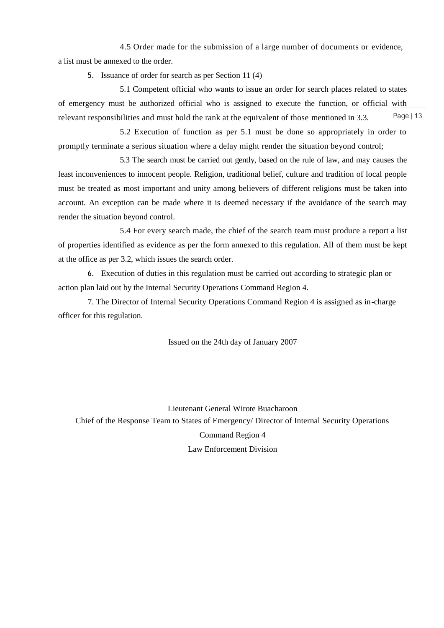4.5 Order made for the submission of a large number of documents or evidence, a list must be annexed to the order.

5. Issuance of order for search as per Section 11 (4)

Page | 13 5.1 Competent official who wants to issue an order for search places related to states of emergency must be authorized official who is assigned to execute the function, or official with relevant responsibilities and must hold the rank at the equivalent of those mentioned in 3.3.

5.2 Execution of function as per 5.1 must be done so appropriately in order to promptly terminate a serious situation where a delay might render the situation beyond control;

5.3 The search must be carried out gently, based on the rule of law, and may causes the least inconveniences to innocent people. Religion, traditional belief, culture and tradition of local people must be treated as most important and unity among believers of different religions must be taken into account. An exception can be made where it is deemed necessary if the avoidance of the search may render the situation beyond control.

5.4 For every search made, the chief of the search team must produce a report a list of properties identified as evidence as per the form annexed to this regulation. All of them must be kept at the office as per 3.2, which issues the search order.

6. Execution of duties in this regulation must be carried out according to strategic plan or action plan laid out by the Internal Security Operations Command Region 4.

7. The Director of Internal Security Operations Command Region 4 is assigned as in-charge officer for this regulation.

Issued on the 24th day of January 2007

Lieutenant General Wirote Buacharoon Chief of the Response Team to States of Emergency/ Director of Internal Security Operations Command Region 4 Law Enforcement Division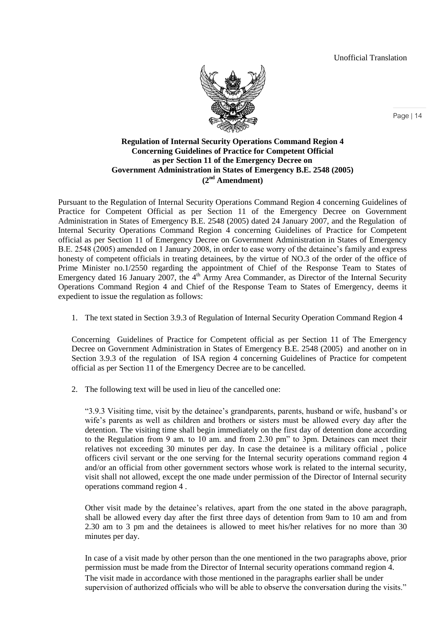Unofficial Translation



### **Regulation of Internal Security Operations Command Region 4 Concerning Guidelines of Practice for Competent Official as per Section 11 of the Emergency Decree on Government Administration in States of Emergency B.E. 2548 (2005) (2nd Amendment)**

Pursuant to the Regulation of Internal Security Operations Command Region 4 concerning Guidelines of Practice for Competent Official as per Section 11 of the Emergency Decree on Government Administration in States of Emergency B.E. 2548 (2005) dated 24 January 2007, and the Regulation of Internal Security Operations Command Region 4 concerning Guidelines of Practice for Competent official as per Section 11 of Emergency Decree on Government Administration in States of Emergency B.E. 2548 (2005) amended on 1 January 2008, in order to ease worry of the detainee"s family and express honesty of competent officials in treating detainees, by the virtue of NO.3 of the order of the office of Prime Minister no.1/2550 regarding the appointment of Chief of the Response Team to States of Emergency dated 16 January 2007, the 4<sup>th</sup> Army Area Commander, as Director of the Internal Security Operations Command Region 4 and Chief of the Response Team to States of Emergency, deems it expedient to issue the regulation as follows:

1. The text stated in Section 3.9.3 of Regulation of Internal Security Operation Command Region 4

Concerning Guidelines of Practice for Competent official as per Section 11 of The Emergency Decree on Government Administration in States of Emergency B.E. 2548 (2005) and another on in Section 3.9.3 of the regulation of ISA region 4 concerning Guidelines of Practice for competent official as per Section 11 of the Emergency Decree are to be cancelled.

2. The following text will be used in lieu of the cancelled one:

"3.9.3 Visiting time, visit by the detainee"s grandparents, parents, husband or wife, husband"s or wife's parents as well as children and brothers or sisters must be allowed every day after the detention. The visiting time shall begin immediately on the first day of detention done according to the Regulation from 9 am. to 10 am. and from 2.30 pm" to 3pm. Detainees can meet their relatives not exceeding 30 minutes per day. In case the detainee is a military official , police officers civil servant or the one serving for the Internal security operations command region 4 and/or an official from other government sectors whose work is related to the internal security, visit shall not allowed, except the one made under permission of the Director of Internal security operations command region 4 .

Other visit made by the detainee"s relatives, apart from the one stated in the above paragraph, shall be allowed every day after the first three days of detention from 9am to 10 am and from 2.30 am to 3 pm and the detainees is allowed to meet his/her relatives for no more than 30 minutes per day.

In case of a visit made by other person than the one mentioned in the two paragraphs above, prior permission must be made from the Director of Internal security operations command region 4. The visit made in accordance with those mentioned in the paragraphs earlier shall be under supervision of authorized officials who will be able to observe the conversation during the visits."

Page | 14